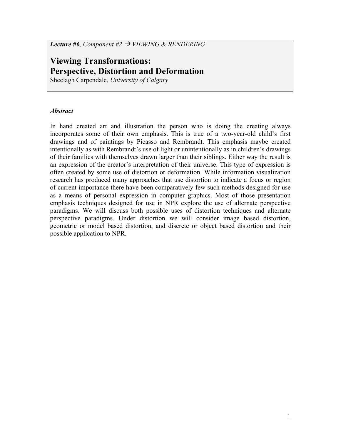*Lecture #6, Component #2*  $\rightarrow$  *VIEWING & RENDERING* 

# **Viewing Transformations: Perspective, Distortion and Deformation**

Sheelagh Carpendale, *University of Calgary* 

## *Abstract*

In hand created art and illustration the person who is doing the creating always incorporates some of their own emphasis. This is true of a two-year-old child's first drawings and of paintings by Picasso and Rembrandt. This emphasis maybe created intentionally as with Rembrandt's use of light or unintentionally as in children's drawings of their families with themselves drawn larger than their siblings. Either way the result is an expression of the creator's interpretation of their universe. This type of expression is often created by some use of distortion or deformation. While information visualization research has produced many approaches that use distortion to indicate a focus or region of current importance there have been comparatively few such methods designed for use as a means of personal expression in computer graphics. Most of those presentation emphasis techniques designed for use in NPR explore the use of alternate perspective paradigms. We will discuss both possible uses of distortion techniques and alternate perspective paradigms. Under distortion we will consider image based distortion, geometric or model based distortion, and discrete or object based distortion and their possible application to NPR.